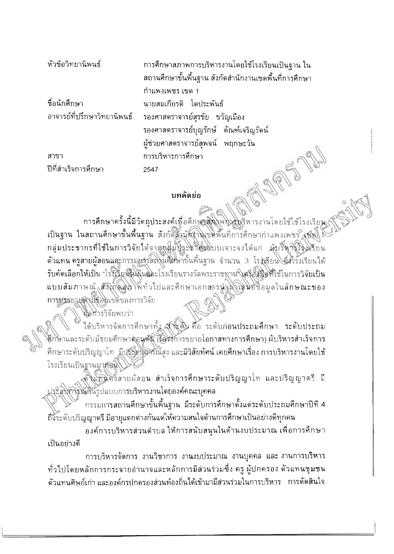| หัวข้อวิทยานิพนธ์           | การศึกษาสภาพการบริหารงานโดยใช้โรงเรียนเป็นฐาน ใน      |
|-----------------------------|-------------------------------------------------------|
|                             | สถานศึกษาขั้นพื้นฐาน สังกัดสำนักงานเขตพื้นที่การศึกษา |
|                             | กำแพงเพชร เขต 1                                       |
| ชื่อนักศึกษา                | นายสมเกียรติ โดประพันธ์                               |
| อาจารย์ที่ปรึกษาวิทยานิพนธ์ | รองศาสตราจารย์สุรชัย ขวัญเมือง                        |
|                             | รองศาสตราจารย์บุญรักษ์ ตัณฑ์เจริญรัดน์                |
|                             | ผู้ช่วยศาสตราจารย์สุพจน์ พฤกษะวัน                     |
| สาขา                        | การบริหารการศึกษา                                     |
| ปีที่สำเร็จการศึกษา         | 2547                                                  |
|                             | บทคัดย่อ                                              |

## บทคัดย่อ

การศึกษาครั้งนี้มีวัดถุประสงค์เพื่อศึกษาสู่มุ่งพ่งวางรุงริหารงานโดยใช้ใช้โรงเรียน เป็นฐาน ในสถานศึกษาขั้นพื้นฐาน สังกัดสิ้นนักงานเขตพื้นที่การศึกษากำแพงเพชร (ซัตร์) กลุ่มประชากรที่ใช้ในการวิจัยได้จากกลิ่มปีระชากะโบบเจาะจงได้แก่ ผู้บริหาร์โรงโรยน ด้วแทน ครูสายผู้สอนและกรรมอารัสญานศิติษาขั้นพื้นฐาน จำนวน 3 โรงเรียน ตึงโรงเรียนได้ รับคัดเลือกให้เป็น "โรงเรียนในผู้และโรงเรียนรางวัลพระราชทาน (ครูอัสมือที่ใช้ในการวิจัยเป็น แบบสัมภาษณ์<sub>จ</sub>สังให้ผู้สูง วัพทั่วไปและคึกษาเอกสารนำฟังโดนอัข้อมูลในลักษณะของ การบรรยายดำมังอินเขตของการวิจัย

พิลทารวิจัยพบว่า

ได้บริหารจัดการศึกษาทั้ง สูงรัฐดิษ คือ ระดับก่อนประถมศึกษา ระดับประถม กษาและระดับมัธยมศึกษาดุอนต์นี้ (โอริงัการขยายโอกาสทางการศึกษา) ผับริหารสำเร็จการ ์ศึกษาระดับปริญญาโท มีปรัฐสิทธิศิรณ์สูง และมีวิสัยทัศน์ เคยศึกษาเรื่อง การบริหารงานโดยใช้ โรงเรียนเป็นฐานมาก่อน

ติ้งแทนศักริสายผัสอน สำเร็จการศึกษาระดับปริญญาโท และปริญญาตรี มี ประสิงค์จัดนิวินะบีแบบการบริหารงานโดยองค์คณะบุคคล

กรรมการสถานศึกษาขั้นพื้นฐาน มีระดับการศึกษาดั้งแต่ระดับประถมศึกษาปีที่ 4 ถึงระดับปริญญาตรี มีอายุแดกต่างกันแต่ให้ความสนใจด้านการศึกษาเป็นอย่างดีทุกคน

้องค์การบริหารส่วนดำบล ให้การสนับสนุนในด้านงบประมาณ เพื่อการศึกษา เป็นอย่างดี

การบริหารจัดการ งานวิชาการ งานงบประมาณ งานบุคคล และงานการบริหาร ทั่วไปโดยหลักการกระจายอำนาจและหลักการมีส่วนร่วมซึ่ง ครู ผู้ปกครอง ด้วแทนชุมชน ้ด้วแทนศิษย์เก่า และองค์กรปกครองส่วนท้องถิ่นได้เข้ามามีส่วนร่วมในการบริหาร การดัดสินใจ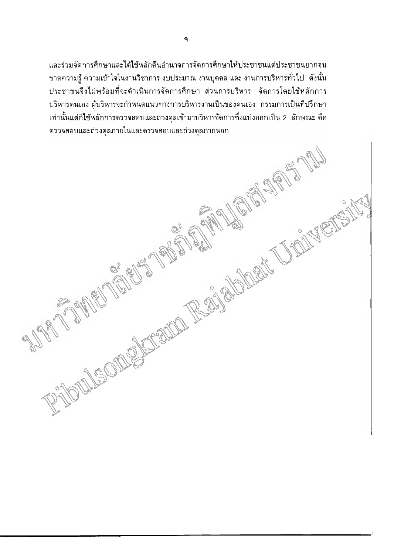ู และร่วมจัดการศึกษาและได้ใช้หลักคืนอำนาจการจัดการศึกษาให้ประชาชนแต่ประชาชนยากจน ขาดความรู้ ความเข้าใจในงานวิชาการ งบประมาณ งานบุคคล และ งานการบริหารทั่วไป ดังนั้น ประชาชนจึงไม่พร้อมที่จะดำเนินการจัดการศึกษา ส่วนการบริหาร จัดการโดยใช้หลักการ RIDULEONOGALISMO REGISTRATIVOS IN STRATOS บริหารดนเอง ผู้บริหารจะกำหนดแนวทางการบริหารงานเป็นของดนเอง กรรมการเป็นที่ปรึกษา ้ เท่านั้นแต่ก็ใช้หลักการตรวจสอบและถ่วงดุลเข้ามาบริหารจัดการซึ่งแบ่งออกเป็น 2 ลักษณะ คือ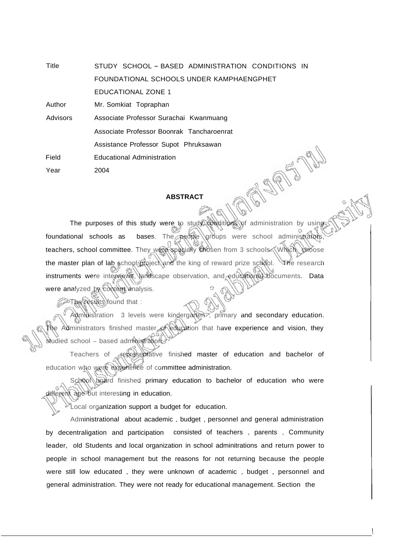Title STUDY SCHOOL - BASED ADMINISTRATION CONDITIONS IN FOUNDATIONAL SCHOOLS UNDER KAMPHAENGPHET EDUCATIONAL ZONE 1

Author Mr. Somkiat Topraphan

Field Advisors Associate Professor Surachai Kwanmuang Associate Professor Boonrak Tancharoenrat Assistance Professor Supot Phruksawan Educational Administration

Year 2004

## **ABSTRACT**

ASS

The purposes of this study were to study conditions of administration by using foundational schools as bases. The people droups were school administrators, teachers, school committee. They were specially chosen from 3 schools. Which choose the master plan of lab school project and the king of reward prize school. The research instruments were interviews, landscape observation, and educational documents. Data were analyzed by content analysis.

**A The results found that :** 

Admidistration 3 levels were kindergarten<sup>7</sup>, primary and secondary education. Administrators finished master of education that have experience and vision, they studied school - based administration.

Teachers of *representative finished master of education and bachelor of* education who were experience of committee administration.

School board finished primary education to bachelor of education who were different age but interesting in education.

Local organization support a budget for education.

Administrational about academic , budget , personnel and general administration by decentraligation and participation consisted of teachers , parents , Community leader, old Students and local organization in school adminitrations and return power to people in school management but the reasons for not returning because the people were still low educated , they were unknown of academic , budget , personnel and general administration. They were not ready for educational management. Section the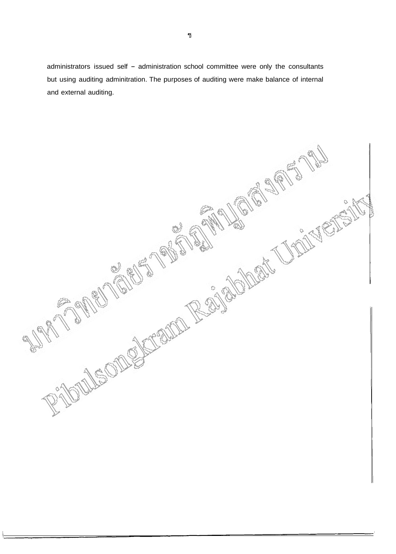administrators issued self - administration school committee were only the consultants but using auditing adminitration. The purposes of auditing were make balance of internal and external auditing.

MERIND ROUNDAY JANETS LEOT